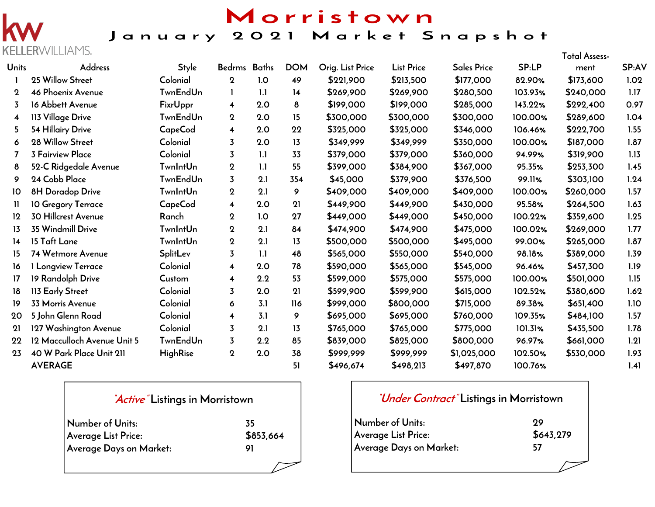

## Morristown January 2021 Market Snapshot

|                | ELLERVVILLIAIYIS            |                 |                         |              |            |                  |                   |                    |         | <b>Total Assess-</b> |       |
|----------------|-----------------------------|-----------------|-------------------------|--------------|------------|------------------|-------------------|--------------------|---------|----------------------|-------|
| Units          | <b>Address</b>              | Style           | <b>Bedrms</b>           | <b>Baths</b> | <b>DOM</b> | Orig. List Price | <b>List Price</b> | <b>Sales Price</b> | SP:LP   | ment                 | SP:AV |
|                | 25 Willow Street            | Colonial        | $\mathbf 2$             | 1.0          | 49         | \$221,900        | \$213,500         | \$177,000          | 82.90%  | \$173,600            | 1.02  |
| $\mathbf 2$    | 46 Phoenix Avenue           | <b>TwnEndUn</b> | L                       | 1.1          | 14         | \$269,900        | \$269,900         | \$280,500          | 103.93% | \$240,000            | 1.17  |
| 3              | 16 Abbett Avenue            | <b>FixrUppr</b> | $\overline{\mathbf{4}}$ | 2.0          | 8          | \$199,000        | \$199,000         | \$285,000          | 143.22% | \$292,400            | 0.97  |
| $\overline{4}$ | 113 Village Drive           | <b>TwnEndUn</b> | $\mathbf 2$             | 2.0          | 15         | \$300,000        | \$300,000         | \$300,000          | 100.00% | \$289,600            | 1.04  |
| 5              | 54 Hillairy Drive           | CapeCod         | $\overline{\mathbf{4}}$ | 2.0          | 22         | \$325,000        | \$325,000         | \$346,000          | 106.46% | \$222,700            | 1.55  |
| 6              | 28 Willow Street            | Colonial        | $\overline{3}$          | 2.0          | 13         | \$349,999        | \$349,999         | \$350,000          | 100.00% | \$187,000            | 1.87  |
| $\overline{7}$ | <b>3 Fairview Place</b>     | Colonial        | $\overline{3}$          | 1.1          | 33         | \$379,000        | \$379,000         | \$360,000          | 94.99%  | \$319,900            | 1.13  |
| 8              | 52-C Ridgedale Avenue       | <b>TwnIntUn</b> | $\mathbf 2$             | 1.1          | 55         | \$399,000        | \$384,900         | \$367,000          | 95.35%  | \$253,300            | 1.45  |
| 9              | 24 Cobb Place               | <b>TwnEndUn</b> | $\overline{3}$          | 2.1          | 354        | \$45,000         | \$379,900         | \$376,500          | 99.11%  | \$303,100            | 1.24  |
| 10             | 8H Doradop Drive            | <b>TwnIntUn</b> | $\mathbf 2$             | 2.1          | 9          | \$409,000        | \$409,000         | \$409,000          | 100.00% | \$260,000            | 1.57  |
| Ħ              | 10 Gregory Terrace          | CapeCod         | 4                       | 2.0          | 21         | \$449,900        | \$449,900         | \$430,000          | 95.58%  | \$264,500            | 1.63  |
| 12             | <b>30 Hillcrest Avenue</b>  | Ranch           | $\mathbf 2$             | 1.0          | 27         | \$449,000        | \$449,000         | \$450,000          | 100.22% | \$359,600            | 1.25  |
| 13             | 35 Windmill Drive           | <b>TwnIntUn</b> | $\mathbf 2$             | 2.1          | 84         | \$474,900        | \$474,900         | \$475,000          | 100.02% | \$269,000            | 1.77  |
| 14             | 15 Taft Lane                | <b>TwnIntUn</b> | $\mathbf 2$             | 2.1          | 13         | \$500,000        | \$500,000         | \$495,000          | 99.00%  | \$265,000            | 1.87  |
| 15             | 74 Wetmore Avenue           | <b>SplitLev</b> | $\overline{3}$          | 1.1          | 48         | \$565,000        | \$550,000         | \$540,000          | 98.18%  | \$389,000            | 1.39  |
| 16             | 1 Longview Terrace          | Colonial        | $\overline{\mathbf{4}}$ | 2.0          | 78         | \$590,000        | \$565,000         | \$545,000          | 96.46%  | \$457,300            | 1.19  |
| 17             | 19 Randolph Drive           | Custom          | 4                       | 2.2          | 53         | \$599,000        | \$575,000         | \$575,000          | 100.00% | \$501,000            | 1.15  |
| 18             | 113 Early Street            | Colonial        | $\overline{3}$          | 2.0          | 21         | \$599,900        | \$599,900         | \$615,000          | 102.52% | \$380,600            | 1.62  |
| 19             | <b>33 Morris Avenue</b>     | Colonial        | 6                       | 3.1          | 116        | \$999,000        | \$800,000         | \$715,000          | 89.38%  | \$651,400            | 1.10  |
| 20             | 5 John Glenn Road           | Colonial        | 4                       | 3.1          | 9          | \$695,000        | \$695,000         | \$760,000          | 109.35% | \$484,100            | 1.57  |
| 21             | 127 Washington Avenue       | Colonial        | 3                       | 2.1          | 13         | \$765,000        | \$765,000         | \$775,000          | 101.31% | \$435,500            | 1.78  |
| 22             | 12 Macculloch Avenue Unit 5 | <b>TwnEndUn</b> | $\overline{3}$          | 2.2          | 85         | \$839,000        | \$825,000         | \$800,000          | 96.97%  | \$661,000            | 1.21  |
| 23             | 40 W Park Place Unit 211    | <b>HighRise</b> | $\boldsymbol{2}$        | 2.0          | 38         | \$999,999        | \$999,999         | \$1,025,000        | 102.50% | \$530,000            | 1.93  |
|                | <b>AVERAGE</b>              |                 |                         |              | 51         | \$496,674        | \$498,213         | \$497,870          | 100.76% |                      | 1.41  |

| <i>Active</i> Listings in Morristown |           |
|--------------------------------------|-----------|
| Number of Units:                     | 35        |
| Average List Price:                  | \$853,664 |
| Average Days on Market:              | 91        |
|                                      |           |

| <i>"Under Contract"</i> Listings in Morristown |           |  |  |  |  |  |
|------------------------------------------------|-----------|--|--|--|--|--|
| Number of Units:                               | 99        |  |  |  |  |  |
| Average List Price:                            | \$643,279 |  |  |  |  |  |
| Average Days on Market:                        | 57        |  |  |  |  |  |
|                                                |           |  |  |  |  |  |